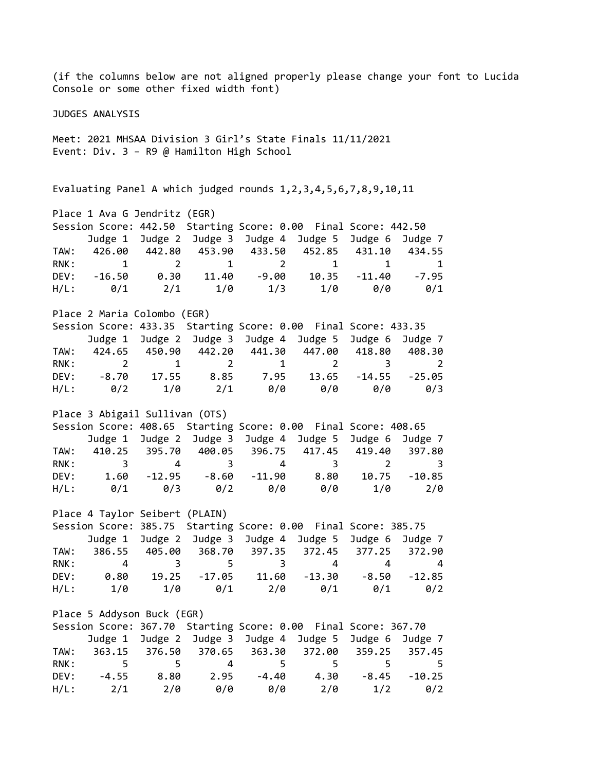(if the columns below are not aligned properly please change your font to Lucida Console or some other fixed width font) JUDGES ANALYSIS Meet: 2021 MHSAA Division 3 Girl's State Finals 11/11/2021 Event: Div. 3 – R9 @ Hamilton High School Evaluating Panel A which judged rounds 1,2,3,4,5,6,7,8,9,10,11 Place 1 Ava G Jendritz (EGR) Session Score: 442.50 Starting Score: 0.00 Final Score: 442.50 Judge 1 Judge 2 Judge 3 Judge 4 Judge 5 Judge 6 Judge 7 TAW: 426.00 442.80 453.90 433.50 452.85 431.10 434.55 RNK: 1 2 1 2 1 1 1 DEV: -16.50 0.30 11.40 -9.00 10.35 -11.40 -7.95 H/L: 0/1 2/1 1/0 1/3 1/0 0/0 0/1 Place 2 Maria Colombo (EGR) Session Score: 433.35 Starting Score: 0.00 Final Score: 433.35 Judge 1 Judge 2 Judge 3 Judge 4 Judge 5 Judge 6 Judge 7 TAW: 424.65 450.90 442.20 441.30 447.00 418.80 408.30 RNK: 2 1 2 1 2 3 2 DEV: -8.70 17.55 8.85 7.95 13.65 -14.55 -25.05 H/L: 0/2 1/0 2/1 0/0 0/0 0/0 0/3 Place 3 Abigail Sullivan (OTS) Session Score: 408.65 Starting Score: 0.00 Final Score: 408.65 Judge 1 Judge 2 Judge 3 Judge 4 Judge 5 Judge 6 Judge 7 TAW: 410.25 395.70 400.05 396.75 417.45 419.40 397.80 RNK: 3 4 3 4 3 2 3 DEV: 1.60 -12.95 -8.60 -11.90 8.80 10.75 -10.85 H/L: 0/1 0/3 0/2 0/0 0/0 1/0 2/0 Place 4 Taylor Seibert (PLAIN) Session Score: 385.75 Starting Score: 0.00 Final Score: 385.75 Judge 1 Judge 2 Judge 3 Judge 4 Judge 5 Judge 6 Judge 7 TAW: 386.55 405.00 368.70 397.35 372.45 377.25 372.90 RNK: 4 3 5 3 4 4 4 DEV: 0.80 19.25 -17.05 11.60 -13.30 -8.50 -12.85 H/L: 1/0 1/0 0/1 2/0 0/1 0/1 0/2 Place 5 Addyson Buck (EGR) Session Score: 367.70 Starting Score: 0.00 Final Score: 367.70 Judge 1 Judge 2 Judge 3 Judge 4 Judge 5 Judge 6 Judge 7 TAW: 363.15 376.50 370.65 363.30 372.00 359.25 357.45 RNK: 5 5 5 4 5 5 5 5 5 DEV: -4.55 8.80 2.95 -4.40 4.30 -8.45 -10.25 H/L: 2/1 2/0 0/0 0/0 2/0 1/2 0/2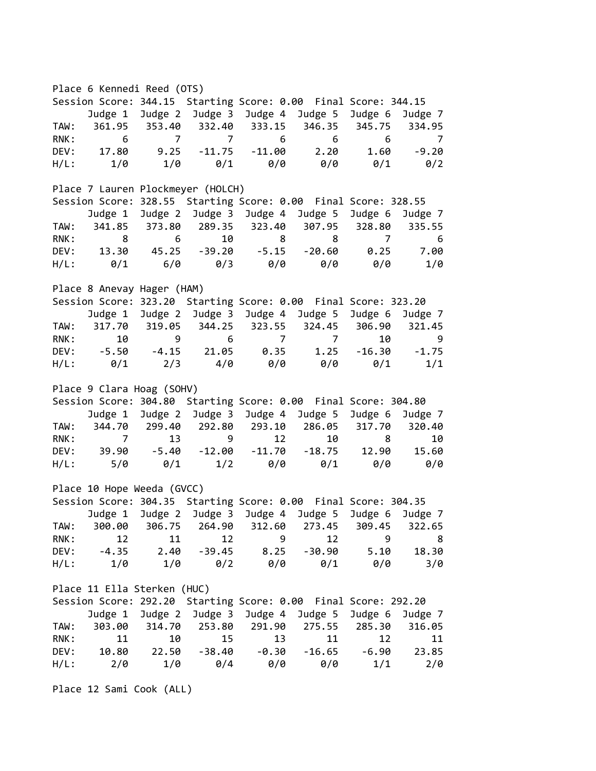Place 6 Kennedi Reed (OTS) Session Score: 344.15 Starting Score: 0.00 Final Score: 344.15 Judge 1 Judge 2 Judge 3 Judge 4 Judge 5 Judge 6 Judge 7 TAW: 361.95 353.40 332.40 333.15 346.35 345.75 334.95 RNK: 6 7 7 6 6 6 7 DEV: 17.80 9.25 -11.75 -11.00 2.20 1.60 -9.20 H/L: 1/0 1/0 0/1 0/0 0/0 0/1 0/2 Place 7 Lauren Plockmeyer (HOLCH) Session Score: 328.55 Starting Score: 0.00 Final Score: 328.55 Judge 1 Judge 2 Judge 3 Judge 4 Judge 5 Judge 6 Judge 7 TAW: 341.85 373.80 289.35 323.40 307.95 328.80 335.55 RNK: 8 6 10 8 8 7 6 DEV: 13.30 45.25 -39.20 -5.15 -20.60 0.25 7.00 H/L: 0/1 6/0 0/3 0/0 0/0 0/0 1/0 Place 8 Anevay Hager (HAM) Session Score: 323.20 Starting Score: 0.00 Final Score: 323.20 Judge 1 Judge 2 Judge 3 Judge 4 Judge 5 Judge 6 Judge 7 TAW: 317.70 319.05 344.25 323.55 324.45 306.90 321.45 RNK: 10 9 6 7 7 10 9 DEV: -5.50 -4.15 21.05 0.35 1.25 -16.30 -1.75 H/L: 0/1 2/3 4/0 0/0 0/0 0/1 1/1 Place 9 Clara Hoag (SOHV) Session Score: 304.80 Starting Score: 0.00 Final Score: 304.80 Judge 1 Judge 2 Judge 3 Judge 4 Judge 5 Judge 6 Judge 7 TAW: 344.70 299.40 292.80 293.10 286.05 317.70 320.40 RNK: 7 13 9 12 10 8 10 DEV: 39.90 -5.40 -12.00 -11.70 -18.75 12.90 15.60 H/L: 5/0 0/1 1/2 0/0 0/1 0/0 0/0 Place 10 Hope Weeda (GVCC) Session Score: 304.35 Starting Score: 0.00 Final Score: 304.35 Judge 1 Judge 2 Judge 3 Judge 4 Judge 5 Judge 6 Judge 7 TAW: 300.00 306.75 264.90 312.60 273.45 309.45 322.65 RNK: 12 11 12 9 12 9 8 DEV: -4.35 2.40 -39.45 8.25 -30.90 5.10 18.30 H/L: 1/0 1/0 0/2 0/0 0/1 0/0 3/0 Place 11 Ella Sterken (HUC) Session Score: 292.20 Starting Score: 0.00 Final Score: 292.20 Judge 1 Judge 2 Judge 3 Judge 4 Judge 5 Judge 6 Judge 7 TAW: 303.00 314.70 253.80 291.90 275.55 285.30 316.05 RNK: 11 10 15 13 11 12 11 DEV: 10.80 22.50 -38.40 -0.30 -16.65 -6.90 23.85 H/L: 2/0 1/0 0/4 0/0 0/0 1/1 2/0

Place 12 Sami Cook (ALL)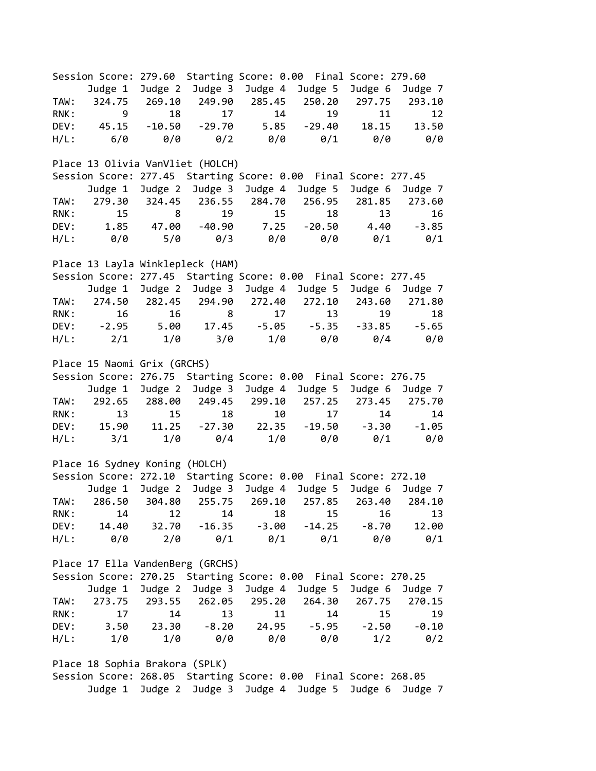Session Score: 279.60 Starting Score: 0.00 Final Score: 279.60 Judge 1 Judge 2 Judge 3 Judge 4 Judge 5 Judge 6 Judge 7 TAW: 324.75 269.10 249.90 285.45 250.20 297.75 293.10 RNK: 9 18 17 14 19 11 12 DEV: 45.15 -10.50 -29.70 5.85 -29.40 18.15 13.50 H/L: 6/0 0/0 0/2 0/0 0/1 0/0 0/0 Place 13 Olivia VanVliet (HOLCH) Session Score: 277.45 Starting Score: 0.00 Final Score: 277.45 Judge 1 Judge 2 Judge 3 Judge 4 Judge 5 Judge 6 Judge 7 TAW: 279.30 324.45 236.55 284.70 256.95 281.85 273.60 RNK: 15 8 19 15 18 13 16 DEV: 1.85 47.00 -40.90 7.25 -20.50 4.40 -3.85 H/L: 0/0 5/0 0/3 0/0 0/0 0/1 0/1 Place 13 Layla Winklepleck (HAM) Session Score: 277.45 Starting Score: 0.00 Final Score: 277.45 Judge 1 Judge 2 Judge 3 Judge 4 Judge 5 Judge 6 Judge 7 TAW: 274.50 282.45 294.90 272.40 272.10 243.60 271.80 RNK: 16 16 8 17 13 19 18 DEV: -2.95 5.00 17.45 -5.05 -5.35 -33.85 -5.65 H/L: 2/1 1/0 3/0 1/0 0/0 0/4 0/0 Place 15 Naomi Grix (GRCHS) Session Score: 276.75 Starting Score: 0.00 Final Score: 276.75 Judge 1 Judge 2 Judge 3 Judge 4 Judge 5 Judge 6 Judge 7 TAW: 292.65 288.00 249.45 299.10 257.25 273.45 275.70 RNK: 13 15 18 10 17 14 14 DEV: 15.90 11.25 -27.30 22.35 -19.50 -3.30 -1.05 H/L: 3/1 1/0 0/4 1/0 0/0 0/1 0/0 Place 16 Sydney Koning (HOLCH) Session Score: 272.10 Starting Score: 0.00 Final Score: 272.10 Judge 1 Judge 2 Judge 3 Judge 4 Judge 5 Judge 6 Judge 7 TAW: 286.50 304.80 255.75 269.10 257.85 263.40 284.10 RNK: 14 12 14 18 15 16 13 DEV: 14.40 32.70 -16.35 -3.00 -14.25 -8.70 12.00 H/L: 0/0 2/0 0/1 0/1 0/1 0/0 0/1 Place 17 Ella VandenBerg (GRCHS) Session Score: 270.25 Starting Score: 0.00 Final Score: 270.25 Judge 1 Judge 2 Judge 3 Judge 4 Judge 5 Judge 6 Judge 7 TAW: 273.75 293.55 262.05 295.20 264.30 267.75 270.15 RNK: 17 14 13 11 14 15 19 DEV: 3.50 23.30 -8.20 24.95 -5.95 -2.50 -0.10 H/L: 1/0 1/0 0/0 0/0 0/0 1/2 0/2 Place 18 Sophia Brakora (SPLK)

Session Score: 268.05 Starting Score: 0.00 Final Score: 268.05 Judge 1 Judge 2 Judge 3 Judge 4 Judge 5 Judge 6 Judge 7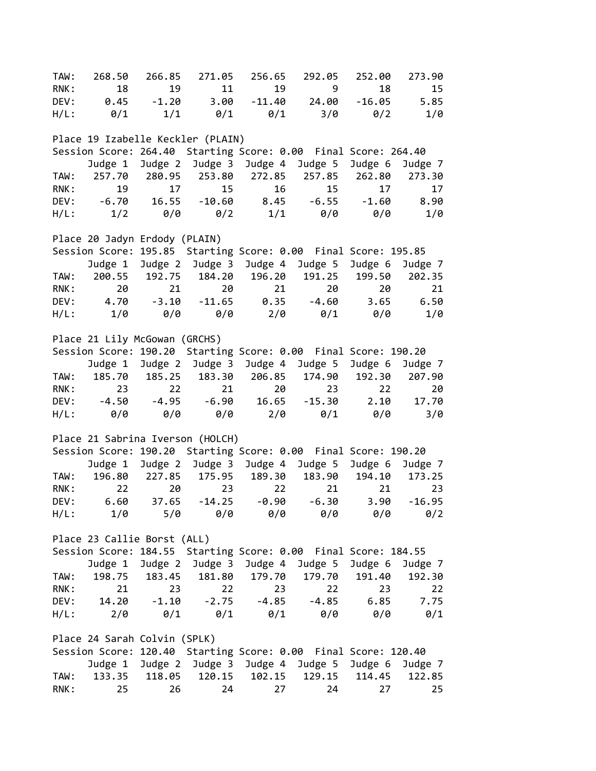TAW: 268.50 266.85 271.05 256.65 292.05 252.00 273.90 RNK: 18 19 11 19 9 18 15 DEV: 0.45 -1.20 3.00 -11.40 24.00 -16.05 5.85 H/L: 0/1 1/1 0/1 0/1 3/0 0/2 1/0 Place 19 Izabelle Keckler (PLAIN) Session Score: 264.40 Starting Score: 0.00 Final Score: 264.40 Judge 1 Judge 2 Judge 3 Judge 4 Judge 5 Judge 6 Judge 7 TAW: 257.70 280.95 253.80 272.85 257.85 262.80 273.30 RNK: 19 17 15 16 15 17 17 DEV: -6.70 16.55 -10.60 8.45 -6.55 -1.60 8.90 H/L: 1/2 0/0 0/2 1/1 0/0 0/0 1/0 Place 20 Jadyn Erdody (PLAIN) Session Score: 195.85 Starting Score: 0.00 Final Score: 195.85 Judge 1 Judge 2 Judge 3 Judge 4 Judge 5 Judge 6 Judge 7 TAW: 200.55 192.75 184.20 196.20 191.25 199.50 202.35 RNK: 20 21 20 21 20 20 21 DEV: 4.70 -3.10 -11.65 0.35 -4.60 3.65 6.50 H/L: 1/0 0/0 0/0 2/0 0/1 0/0 1/0 Place 21 Lily McGowan (GRCHS) Session Score: 190.20 Starting Score: 0.00 Final Score: 190.20 Judge 1 Judge 2 Judge 3 Judge 4 Judge 5 Judge 6 Judge 7 TAW: 185.70 185.25 183.30 206.85 174.90 192.30 207.90 RNK: 23 22 21 20 23 22 20 DEV: -4.50 -4.95 -6.90 16.65 -15.30 2.10 17.70 H/L: 0/0 0/0 0/0 2/0 0/1 0/0 3/0 Place 21 Sabrina Iverson (HOLCH) Session Score: 190.20 Starting Score: 0.00 Final Score: 190.20 Judge 1 Judge 2 Judge 3 Judge 4 Judge 5 Judge 6 Judge 7 TAW: 196.80 227.85 175.95 189.30 183.90 194.10 173.25 RNK: 22 20 23 22 21 21 23 DEV: 6.60 37.65 -14.25 -0.90 -6.30 3.90 -16.95 H/L: 1/0 5/0 0/0 0/0 0/0 0/0 0/2 Place 23 Callie Borst (ALL) Session Score: 184.55 Starting Score: 0.00 Final Score: 184.55 Judge 1 Judge 2 Judge 3 Judge 4 Judge 5 Judge 6 Judge 7 TAW: 198.75 183.45 181.80 179.70 179.70 191.40 192.30 RNK: 21 23 22 23 22 23 22 DEV: 14.20 -1.10 -2.75 -4.85 -4.85 6.85 7.75 H/L: 2/0 0/1 0/1 0/1 0/0 0/0 0/1 Place 24 Sarah Colvin (SPLK) Session Score: 120.40 Starting Score: 0.00 Final Score: 120.40 Judge 1 Judge 2 Judge 3 Judge 4 Judge 5 Judge 6 Judge 7 TAW: 133.35 118.05 120.15 102.15 129.15 114.45 122.85 RNK: 25 26 24 27 24 27 25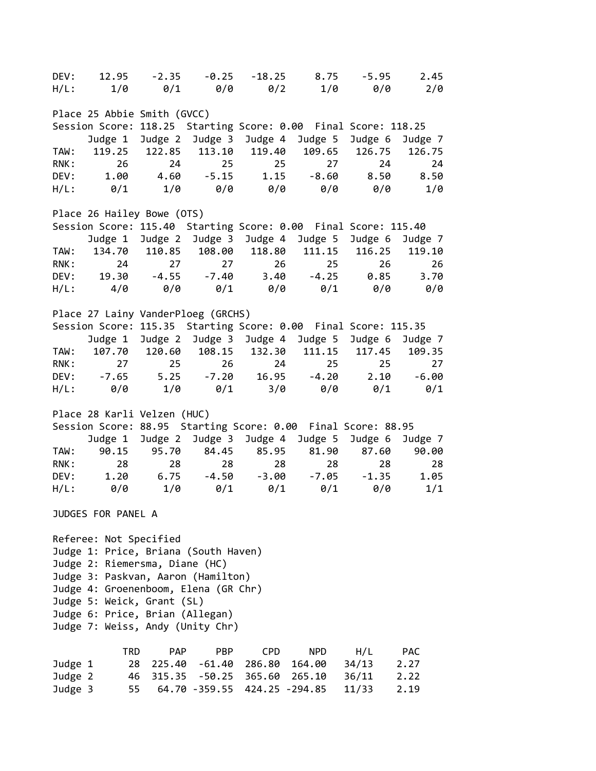| DEV:                             | 12.95                           | $-2.35$    | $-0.25$                              |                             | $-18.25$ 8.75                                                  | $-5.95$       | 2.45            |  |  |
|----------------------------------|---------------------------------|------------|--------------------------------------|-----------------------------|----------------------------------------------------------------|---------------|-----------------|--|--|
| $H/L$ :                          | 1/0                             |            |                                      | $0/1$ $0/0$ $0/2$           | 1/0                                                            | 0/0           | 2/0             |  |  |
|                                  | Place 25 Abbie Smith (GVCC)     |            |                                      |                             |                                                                |               |                 |  |  |
|                                  |                                 |            |                                      |                             | Session Score: 118.25 Starting Score: 0.00 Final Score: 118.25 |               |                 |  |  |
|                                  |                                 |            |                                      |                             | Judge 1 Judge 2 Judge 3 Judge 4 Judge 5                        |               | Judge 6 Judge 7 |  |  |
| TAW:                             |                                 |            |                                      | 119.25 122.85 113.10 119.40 |                                                                | 109.65 126.75 | 126.75          |  |  |
| RNK:                             | 26                              | 24         | 25                                   | $\overline{\phantom{1}}$ 25 | 27                                                             | 24            | 24              |  |  |
| DEV:                             | 1.00                            |            | $4.60 - 5.15$                        | 1.15                        | $-8.60$                                                        | 8.50          | 8.50            |  |  |
| $H/L$ :                          | 0/1                             |            | $1/0$ 0/0                            | 0/0                         | 0/0                                                            | 0/0           | $1/\theta$      |  |  |
|                                  | Place 26 Hailey Bowe (OTS)      |            |                                      |                             |                                                                |               |                 |  |  |
|                                  |                                 |            |                                      |                             | Session Score: 115.40 Starting Score: 0.00 Final Score: 115.40 |               |                 |  |  |
|                                  |                                 |            |                                      |                             | Judge 1 Judge 2 Judge 3 Judge 4 Judge 5 Judge 6 Judge 7        |               |                 |  |  |
| TAW:                             |                                 |            |                                      | 134.70 110.85 108.00 118.80 |                                                                | 111.15 116.25 | 119.10          |  |  |
| RNK:                             |                                 | 24         | 27<br>27                             |                             | 25<br>26                                                       | 26            | 26              |  |  |
|                                  |                                 |            |                                      |                             | DEV: 19.30 -4.55 -7.40 3.40 -4.25 0.85                         |               | 3.70            |  |  |
| H/L:                             | 4/0                             |            |                                      | 0/0 0/1 0/0                 | 0/1                                                            | 0/0           | 0/0             |  |  |
|                                  |                                 |            |                                      |                             |                                                                |               |                 |  |  |
|                                  |                                 |            | Place 27 Lainy VanderPloeg (GRCHS)   |                             |                                                                |               |                 |  |  |
|                                  |                                 |            |                                      |                             | Session Score: 115.35 Starting Score: 0.00 Final Score: 115.35 |               |                 |  |  |
|                                  |                                 |            |                                      |                             | Judge 1 Judge 2 Judge 3 Judge 4 Judge 5 Judge 6                |               | Judge 7         |  |  |
| TAW:                             |                                 |            |                                      | 107.70 120.60 108.15 132.30 | 111.15                                                         | 117.45        | 109.35          |  |  |
| RNK:                             | 27                              |            | $25 - 25$<br>26                      | 24                          | 25                                                             | 25            | 27              |  |  |
| DEV:                             | $-7.65$                         | 5.25       |                                      |                             | $-7.20$ $16.95$ $-4.20$                                        | 2.10          | $-6.00$         |  |  |
| $H/L$ :                          | 0/0                             | 1/0        | 0/1                                  | 3/0                         | 0/0                                                            | 0/1           | $\theta/1$      |  |  |
|                                  | Place 28 Karli Velzen (HUC)     |            |                                      |                             |                                                                |               |                 |  |  |
|                                  |                                 |            |                                      |                             | Session Score: 88.95 Starting Score: 0.00 Final Score: 88.95   |               |                 |  |  |
|                                  | Judge 1                         |            |                                      | Judge 2 Judge 3 Judge 4     | Judge 5                                                        | Judge 6       | Judge 7         |  |  |
| TAW:                             | 90.15                           | 95.70      | 84.45                                | 85.95                       |                                                                | 81.90 87.60   | 90.00           |  |  |
| RNK:                             | 28                              | 28         | 28                                   | 28                          | 28                                                             | 28            | 28              |  |  |
| DEV:                             |                                 |            | $1.20$ $6.75$ $-4.50$                | $-3.00$                     | $-7.05$                                                        | $-1.35$       | 1.05            |  |  |
|                                  | 0/0                             | $1/\theta$ | $\theta/1$                           | 0/1                         | 0/1                                                            |               | 1/1             |  |  |
| $H/L$ :                          |                                 |            |                                      |                             |                                                                | 0/0           |                 |  |  |
|                                  | JUDGES FOR PANEL A              |            |                                      |                             |                                                                |               |                 |  |  |
|                                  | Referee: Not Specified          |            |                                      |                             |                                                                |               |                 |  |  |
|                                  |                                 |            |                                      |                             |                                                                |               |                 |  |  |
|                                  |                                 |            | Judge 1: Price, Briana (South Haven) |                             |                                                                |               |                 |  |  |
|                                  | Judge 2: Riemersma, Diane (HC)  |            |                                      |                             |                                                                |               |                 |  |  |
|                                  |                                 |            | Judge 3: Paskvan, Aaron (Hamilton)   |                             |                                                                |               |                 |  |  |
|                                  |                                 |            | Judge 4: Groenenboom, Elena (GR Chr) |                             |                                                                |               |                 |  |  |
|                                  | Judge 5: Weick, Grant (SL)      |            |                                      |                             |                                                                |               |                 |  |  |
|                                  | Judge 6: Price, Brian (Allegan) |            |                                      |                             |                                                                |               |                 |  |  |
| Judge 7: Weiss, Andy (Unity Chr) |                                 |            |                                      |                             |                                                                |               |                 |  |  |
|                                  | <b>TRD</b>                      | <b>PAP</b> | <b>PBP</b>                           | <b>CPD</b>                  | <b>NPD</b>                                                     | H/L           | <b>PAC</b>      |  |  |
| Judge 1                          |                                 | 28 225.40  | $-61.40$                             | 286.80                      | 164.00                                                         | 34/13         | 2.27            |  |  |
| Judge 2                          |                                 |            |                                      | 46 315.35 -50.25 365.60     | 265.10                                                         | 36/11         | 2.22            |  |  |
| Judge 3                          | 55                              |            | 64.70 -359.55                        | 424.25 -294.85              |                                                                | 11/33         | 2.19            |  |  |